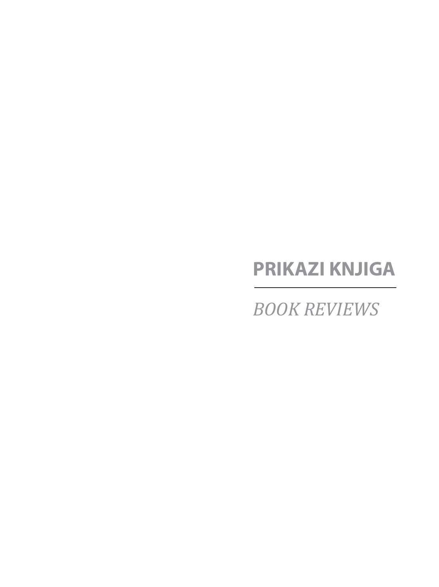# **PRIKAZI KNJIGA**

*BOOK REVIEWS*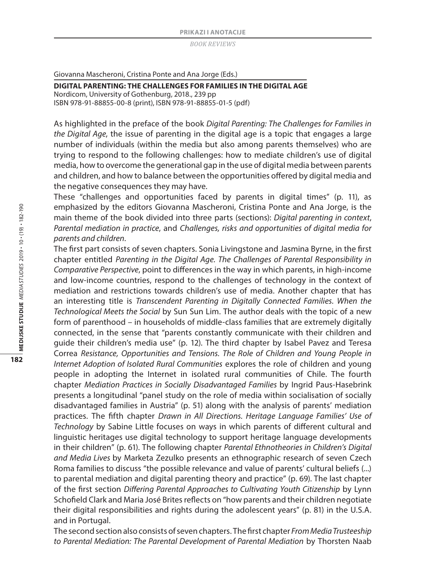Giovanna Mascheroni, Cristina Ponte and Ana Jorge (Eds.)

**DIGITAL PARENTING: THE CHALLENGES FOR FAMILIES IN THE DIGITAL AGE** Nordicom, University of Gothenburg, 2018., 239 pp ISBN 978-91-88855-00-8 (print), ISBN 978-91-88855-01-5 (pdf)

As highlighted in the preface of the book *Digital Parenting: The Challenges for Families in the Digital Age*, the issue of parenting in the digital age is a topic that engages a large number of individuals (within the media but also among parents themselves) who are trying to respond to the following challenges: how to mediate children's use of digital media, how to overcome the generational gap in the use of digital media between parents and children, and how to balance between the opportunities offered by digital media and the negative consequences they may have.

These "challenges and opportunities faced by parents in digital times" (p. 11), as emphasized by the editors Giovanna Mascheroni, Cristina Ponte and Ana Jorge, is the main theme of the book divided into three parts (sections): *Digital parenting in context*, *Parental mediation in practice*, and *Challenges, risks and opportunities of digital media for parents and children*.

The first part consists of seven chapters. Sonia Livingstone and Jasmina Byrne, in the first chapter entitled *Parenting in the Digital Age. The Challenges of Parental Responsibility in Comparative Perspective*, point to differences in the way in which parents, in high-income and low-income countries, respond to the challenges of technology in the context of mediation and restrictions towards children's use of media. Another chapter that has an interesting title is *Transcendent Parenting in Digitally Connected Families. When the Technological Meets the Social* by Sun Sun Lim. The author deals with the topic of a new form of parenthood – in households of middle-class families that are extremely digitally connected, in the sense that "parents constantly communicate with their children and guide their children's media use" (p. 12). The third chapter by Isabel Pavez and Teresa Correa *Resistance, Opportunities and Tensions. The Role of Children and Young People in Internet Adoption of Isolated Rural Communities* explores the role of children and young people in adopting the Internet in isolated rural communities of Chile. The fourth chapter *Mediation Practices in Socially Disadvantaged Families* by Ingrid Paus-Hasebrink presents a longitudinal "panel study on the role of media within socialisation of socially disadvantaged families in Austria" (p. 51) along with the analysis of parents' mediation practices. The fifth chapter *Drawn in All Directions. Heritage Language Families' Use of Technology* by Sabine Little focuses on ways in which parents of different cultural and linguistic heritages use digital technology to support heritage language developments in their children" (p. 61). The following chapter *Parental Ethnotheories in Children's Digital and Media Lives* by Marketa Zezulko presents an ethnographic research of seven Czech Roma families to discuss "the possible relevance and value of parents' cultural beliefs (...) to parental mediation and digital parenting theory and practice" (p. 69). The last chapter of the first section *Differing Parental Approaches to Cultivating Youth Citizenship* by Lynn Schofield Clark and Maria José Brites reflects on "how parents and their children negotiate their digital responsibilities and rights during the adolescent years" (p. 81) in the U.S.A. and in Portugal.

The second section also consists of seven chapters. The first chapter *From Media Trusteeship to Parental Mediation: The Parental Development of Parental Mediation* by Thorsten Naab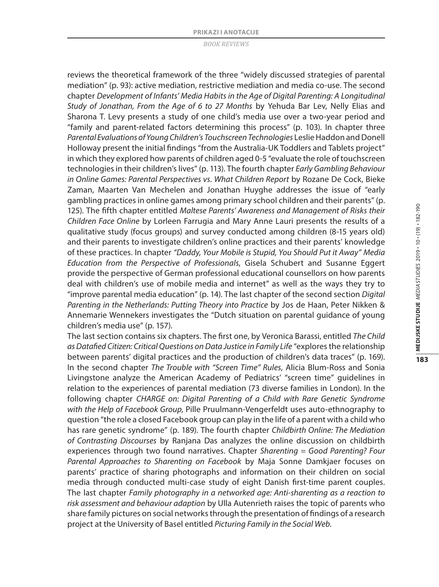reviews the theoretical framework of the three "widely discussed strategies of parental mediation" (p. 93): active mediation, restrictive mediation and media co-use. The second chapter *Development of Infants' Media Habits in the Age of Digital Parenting: A Longitudinal Study of Jonathan, From the Age of 6 to 27 Months* by Yehuda Bar Lev, Nelly Elias and Sharona T. Levy presents a study of one child's media use over a two-year period and "family and parent-related factors determining this process" (p. 103). In chapter three *Parental Evaluations of Young Children's Touchscreen Technologies* Leslie Haddon and Donell Holloway present the initial findings "from the Australia-UK Toddlers and Tablets project" in which they explored how parents of children aged 0-5 "evaluate the role of touchscreen technologies in their children's lives" (p. 113). The fourth chapter *Early Gambling Behaviour in Online Games: Parental Perspectives vs. What Children Report* by Rozane De Cock, Bieke Zaman, Maarten Van Mechelen and Jonathan Huyghe addresses the issue of "early gambling practices in online games among primary school children and their parents" (p. 125). The fifth chapter entitled *Maltese Parents' Awareness and Management of Risks their Children Face Online* by Lorleen Farrugia and Mary Anne Lauri presents the results of a qualitative study (focus groups) and survey conducted among children (8-15 years old) and their parents to investigate children's online practices and their parents' knowledge of these practices. In chapter *"Daddy, Your Mobile is Stupid, You Should Put it Away" Media Education from the Perspective of Professionals*, Gisela Schubert and Susanne Eggert provide the perspective of German professional educational counsellors on how parents deal with children's use of mobile media and internet" as well as the ways they try to "improve parental media education" (p. 14). The last chapter of the second section *Digital Parenting in the Netherlands: Putting Theory into Practice* by Jos de Haan, Peter Nikken & Annemarie Wennekers investigates the "Dutch situation on parental guidance of young children's media use" (p. 157).

The last section contains six chapters. The first one, by Veronica Barassi, entitled *The Child as Datafied Citizen: Critical Questions on Data Justice in Family Life* "explores the relationship between parents' digital practices and the production of children's data traces" (p. 169). In the second chapter *The Trouble with "Screen Time" Rules*, Alicia Blum-Ross and Sonia Livingstone analyze the American Academy of Pediatrics' "screen time" guidelines in relation to the experiences of parental mediation (73 diverse families in London). In the following chapter *CHARGE on: Digital Parenting of a Child with Rare Genetic Syndrome with the Help of Facebook Group*, Pille Pruulmann-Vengerfeldt uses auto-ethnography to question "the role a closed Facebook group can play in the life of a parent with a child who has rare genetic syndrome" (p. 189). The fourth chapter *Childbirth Online: The Mediation of Contrasting Discourses* by Ranjana Das analyzes the online discussion on childbirth experiences through two found narratives. Chapter *Sharenting = Good Parenting? Four Parental Approaches to Sharenting on Facebook* by Maja Sonne Damkjaer focuses on parents' practice of sharing photographs and information on their children on social media through conducted multi-case study of eight Danish first-time parent couples. The last chapter *Family photography in a networked age: Anti-sharenting as a reaction to risk assessment and behaviour adaption* by Ulla Autenrieth raises the topic of parents who share family pictures on social networks through the presentation of findings of a research project at the University of Basel entitled *Picturing Family in the Social Web*.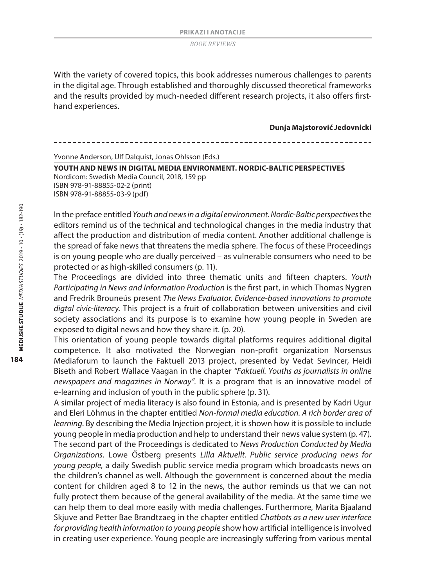With the variety of covered topics, this book addresses numerous challenges to parents in the digital age. Through established and thoroughly discussed theoretical frameworks and the results provided by much-needed different research projects, it also offers firsthand experiences.

**Dunja Majstorović Jedovnicki**

Yvonne Anderson, Ulf Dalquist, Jonas Ohlsson (Eds.)

**YOUTH AND NEWS IN DIGITAL MEDIA ENVIRONMENT. NORDIC-BALTIC PERSPECTIVES** Nordicom: Swedish Media Council, 2018, 159 pp ISBN 978-91-88855-02-2 (print) ISBN 978-91-88855-03-9 (pdf)

In the preface entitled *Youth and news in a digital environment. Nordic-Baltic perspectives* the editors remind us of the technical and technological changes in the media industry that affect the production and distribution of media content. Another additional challenge is the spread of fake news that threatens the media sphere. The focus of these Proceedings is on young people who are dually perceived – as vulnerable consumers who need to be protected or as high-skilled consumers (p. 11).

The Proceedings are divided into three thematic units and fifteen chapters. *Youth Participating in News and Information Production* is the first part, in which Thomas Nygren and Fredrik Brouneús present *The News Evaluator. Evidence-based innovations to promote digtal civic-literacy*. This project is a fruit of collaboration between universities and civil society associations and its purpose is to examine how young people in Sweden are exposed to digital news and how they share it. (p. 20).

This orientation of young people towards digital platforms requires additional digital competence. It also motivated the Norwegian non-profit organization Norsensus Mediaforum to launch the Faktuell 2013 project, presented by Vedat Sevincer, Heidi Biseth and Robert Wallace Vaagan in the chapter *"Faktuell. Youths as journalists in online newspapers and magazines in Norway"*. It is a program that is an innovative model of e-learning and inclusion of youth in the public sphere (p. 31).

A similar project of media literacy is also found in Estonia, and is presented by Kadri Ugur and Eleri Löhmus in the chapter entitled *Non-formal media education. A rich border area of learning*. By describing the Media Injection project, it is shown how it is possible to include young people in media production and help to understand their news value system (p. 47). The second part of the Proceedings is dedicated to *News Production Conducted by Media Organizations*. Lowe Őstberg presents *Lilla Aktuellt. Public service producing news for young people,* a daily Swedish public service media program which broadcasts news on the children's channel as well. Although the government is concerned about the media content for children aged 8 to 12 in the news, the author reminds us that we can not fully protect them because of the general availability of the media. At the same time we can help them to deal more easily with media challenges. Furthermore, Marita Bjaaland Skjuve and Petter Bae Brandtzaeg in the chapter entitled *Chatbots as a new user interface for providing health information to young people* show how artificial intelligence is involved in creating user experience. Young people are increasingly suffering from various mental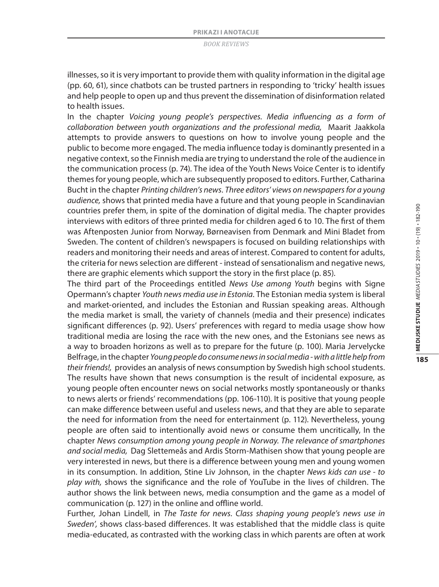illnesses, so it is very important to provide them with quality information in the digital age (pp. 60, 61), since chatbots can be trusted partners in responding to 'tricky' health issues and help people to open up and thus prevent the dissemination of disinformation related to health issues.

In the chapter *Voicing young people's perspectives. Media influencing as a form of collaboration between youth organizations and the professional media,* Maarit Jaakkola attempts to provide answers to questions on how to involve young people and the public to become more engaged. The media influence today is dominantly presented in a negative context, so the Finnish media are trying to understand the role of the audience in the communication process (p. 74). The idea of the Youth News Voice Center is to identify themes for young people, which are subsequently proposed to editors. Further, Catharina Bucht in the chapter *Printing children's news*. *Three editors' views on newspapers for a young audience,* shows that printed media have a future and that young people in Scandinavian countries prefer them, in spite of the domination of digital media. The chapter provides interviews with editors of three printed media for children aged 6 to 10. The first of them was Aftenposten Junior from Norway, Børneavisen from Denmark and Mini Bladet from Sweden. The content of children's newspapers is focused on building relationships with readers and monitoring their needs and areas of interest. Compared to content for adults, the criteria for news selection are different - instead of sensationalism and negative news, there are graphic elements which support the story in the first place (p. 85).

The third part of the Proceedings entitled *News Use among Youth* begins with Signe Opermann's chapter *Youth news media use in Estonia*. The Estonian media system is liberal and market-oriented, and includes the Estonian and Russian speaking areas. Although the media market is small, the variety of channels (media and their presence) indicates significant differences (p. 92). Users' preferences with regard to media usage show how traditional media are losing the race with the new ones, and the Estonians see news as a way to broaden horizons as well as to prepare for the future (p. 100). Maria Jervelycke Belfrage, in the chapter *Young people do consume news in social media - with a little help from their friends!,* provides an analysis of news consumption by Swedish high school students. The results have shown that news consumption is the result of incidental exposure, as young people often encounter news on social networks mostly spontaneously or thanks to news alerts or friends' recommendations (pp. 106-110). It is positive that young people can make difference between useful and useless news, and that they are able to separate the need for information from the need for entertainment (p. 112). Nevertheless, young people are often said to intentionally avoid news or consume them uncritically, In the chapter *News consumption among young people in Norway. The relevance of smartphones and social media,* Dag Slettemeås and Ardis Storm-Mathisen show that young people are very interested in news, but there is a difference between young men and young women in its consumption. In addition, Stine Liv Johnson, in the chapter *News kids can use - to play with,* shows the significance and the role of YouTube in the lives of children. The author shows the link between news, media consumption and the game as a model of communication (p. 127) in the online and offline world.

Further, Johan Lindell, in *The Taste for news. Class shaping young people's news use in Sweden',* shows class-based differences. It was established that the middle class is quite media-educated, as contrasted with the working class in which parents are often at work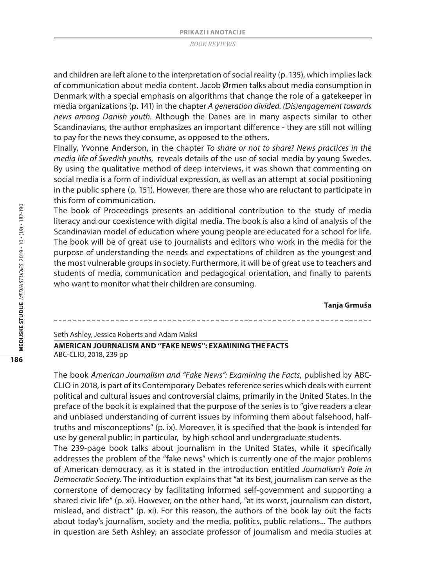and children are left alone to the interpretation of social reality (p. 135), which implies lack of communication about media content. Jacob Ørmen talks about media consumption in Denmark with a special emphasis on algorithms that change the role of a gatekeeper in media organizations (p. 141) in the chapter *A generation divided. (Dis)engagement towards news among Danish youth*. Although the Danes are in many aspects similar to other Scandinavians, the author emphasizes an important difference - they are still not willing to pay for the news they consume, as opposed to the others.

Finally, Yvonne Anderson, in the chapter *To share or not to share? News practices in the media life of Swedish youths,* reveals details of the use of social media by young Swedes. By using the qualitative method of deep interviews, it was shown that commenting on social media is a form of individual expression, as well as an attempt at social positioning in the public sphere (p. 151). However, there are those who are reluctant to participate in this form of communication.

The book of Proceedings presents an additional contribution to the study of media literacy and our coexistence with digital media. The book is also a kind of analysis of the Scandinavian model of education where young people are educated for a school for life. The book will be of great use to journalists and editors who work in the media for the purpose of understanding the needs and expectations of children as the youngest and the most vulnerable groups in society. Furthermore, it will be of great use to teachers and students of media, communication and pedagogical orientation, and finally to parents who want to monitor what their children are consuming.

**Tanja Grmuša**

Seth Ashley, Jessica Roberts and Adam Maksl

# **AMERICAN JOURNALISM AND ''FAKE NEWS'': EXAMINING THE FACTS** ABC-CLIO, 2018, 239 pp

The book *American Journalism and "Fake News": Examining the Facts*, published by ABC-CLIO in 2018, is part of its Contemporary Debates reference series which deals with current political and cultural issues and controversial claims, primarily in the United States. In the preface of the book it is explained that the purpose of the series is to "give readers a clear and unbiased understanding of current issues by informing them about falsehood, halftruths and misconceptions" (p. ix). Moreover, it is specified that the book is intended for use by general public; in particular, by high school and undergraduate students.

The 239-page book talks about journalism in the United States, while it specifically addresses the problem of the "fake news" which is currently one of the major problems of American democracy, as it is stated in the introduction entitled *Journalism's Role in Democratic Society*. The introduction explains that "at its best, journalism can serve as the cornerstone of democracy by facilitating informed self-government and supporting a shared civic life" (p. xi). However, on the other hand, "at its worst, journalism can distort, mislead, and distract" (p. xi). For this reason, the authors of the book lay out the facts about today's journalism, society and the media, politics, public relations... The authors in question are Seth Ashley; an associate professor of journalism and media studies at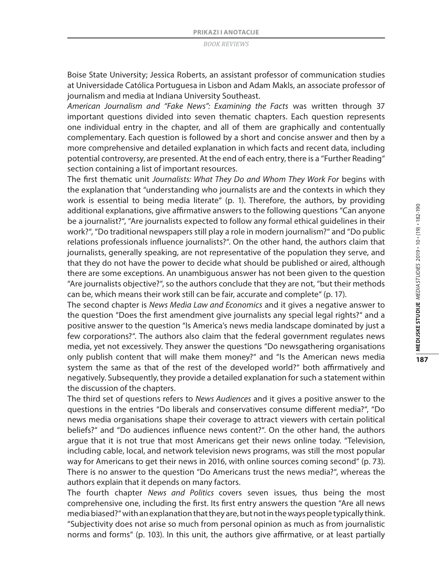Boise State University; Jessica Roberts, an assistant professor of communication studies at Universidade Católica Portuguesa in Lisbon and Adam Makls, an associate professor of journalism and media at Indiana University Southeast.

*American Journalism and "Fake News": Examining the Facts* was written through 37 important questions divided into seven thematic chapters. Each question represents one individual entry in the chapter, and all of them are graphically and contentually complementary. Each question is followed by a short and concise answer and then by a more comprehensive and detailed explanation in which facts and recent data, including potential controversy, are presented. At the end of each entry, there is a "Further Reading" section containing a list of important resources.

The first thematic unit *Journalists: What They Do and Whom They Work For* begins with the explanation that "understanding who journalists are and the contexts in which they work is essential to being media literate" (p. 1). Therefore, the authors, by providing additional explanations, give affirmative answers to the following questions "Can anyone be a journalist?", "Are journalists expected to follow any formal ethical guidelines in their work?", "Do traditional newspapers still play a role in modern journalism?" and "Do public relations professionals influence journalists?". On the other hand, the authors claim that journalists, generally speaking, are not representative of the population they serve, and that they do not have the power to decide what should be published or aired, although there are some exceptions. An unambiguous answer has not been given to the question "Are journalists objective?", so the authors conclude that they are not, "but their methods can be, which means their work still can be fair, accurate and complete" (p. 17).

The second chapter is *News Media Law and Economics* and it gives a negative answer to the question "Does the first amendment give journalists any special legal rights?" and a positive answer to the question "Is America's news media landscape dominated by just a few corporations?". The authors also claim that the federal government regulates news media, yet not excessively. They answer the questions "Do newsgathering organisations only publish content that will make them money?" and "Is the American news media system the same as that of the rest of the developed world?" both affirmatively and negatively. Subsequently, they provide a detailed explanation for such a statement within the discussion of the chapters.

The third set of questions refers to *News Audiences* and it gives a positive answer to the questions in the entries "Do liberals and conservatives consume different media?", "Do news media organisations shape their coverage to attract viewers with certain political beliefs?" and "Do audiences influence news content?". On the other hand, the authors argue that it is not true that most Americans get their news online today. "Television, including cable, local, and network television news programs, was still the most popular way for Americans to get their news in 2016, with online sources coming second" (p. 73). There is no answer to the question "Do Americans trust the news media?", whereas the authors explain that it depends on many factors.

The fourth chapter *News and Politics* covers seven issues*,* thus being the most comprehensive one, including the first. Its first entry answers the question "Are all news media biased?" with an explanation that they are, but not in the ways people typically think. "Subjectivity does not arise so much from personal opinion as much as from journalistic norms and forms" (p. 103). In this unit, the authors give affirmative, or at least partially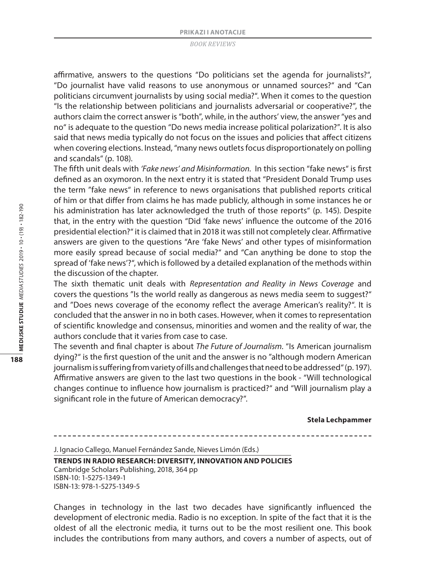affirmative, answers to the questions "Do politicians set the agenda for journalists?", "Do journalist have valid reasons to use anonymous or unnamed sources?" and "Can politicians circumvent journalists by using social media?". When it comes to the question "Is the relationship between politicians and journalists adversarial or cooperative?", the authors claim the correct answer is "both", while, in the authors' view, the answer "yes and no" is adequate to the question "Do news media increase political polarization?". It is also said that news media typically do not focus on the issues and policies that affect citizens when covering elections. Instead, "many news outlets focus disproportionately on polling and scandals" (p. 108).

The fifth unit deals with *'Fake news' and Misinformation.* In this section "fake news" is first defined as an oxymoron. In the next entry it is stated that "President Donald Trump uses the term "fake news" in reference to news organisations that published reports critical of him or that differ from claims he has made publicly, although in some instances he or his administration has later acknowledged the truth of those reports" (p. 145). Despite that, in the entry with the question "Did 'fake news' influence the outcome of the 2016 presidential election?" it is claimed that in 2018 it was still not completely clear. Affirmative answers are given to the questions "Are 'fake News' and other types of misinformation more easily spread because of social media?" and "Can anything be done to stop the spread of 'fake news'?", which is followed by a detailed explanation of the methods within the discussion of the chapter.

The sixth thematic unit deals with *Representation and Reality in News Coverage* and covers the questions "Is the world really as dangerous as news media seem to suggest?" and "Does news coverage of the economy reflect the average American's reality?". It is concluded that the answer in no in both cases. However, when it comes to representation of scientific knowledge and consensus, minorities and women and the reality of war, the authors conclude that it varies from case to case.

The seventh and final chapter is about *The Future of Journalism*. "Is American journalism dying?" is the first question of the unit and the answer is no "although modern American journalism is suffering from variety of ills and challenges that need to be addressed" (p. 197). Affirmative answers are given to the last two questions in the book - "Will technological changes continue to influence how journalism is practiced?" and "Will journalism play a significant role in the future of American democracy?".

#### **Stela Lechpammer**

J. Ignacio Callego, Manuel Fernández Sande, Nieves Limón (Eds.)

#### **TRENDS IN RADIO RESEARCH: DIVERSITY, INNOVATION AND POLICIES** Cambridge Scholars Publishing, 2018, 364 pp ISBN-10: 1-5275-1349-1 ISBN-13: 978-1-5275-1349-5

Changes in technology in the last two decades have significantly influenced the development of electronic media. Radio is no exception. In spite of the fact that it is the oldest of all the electronic media, it turns out to be the most resilient one. This book includes the contributions from many authors, and covers a number of aspects, out of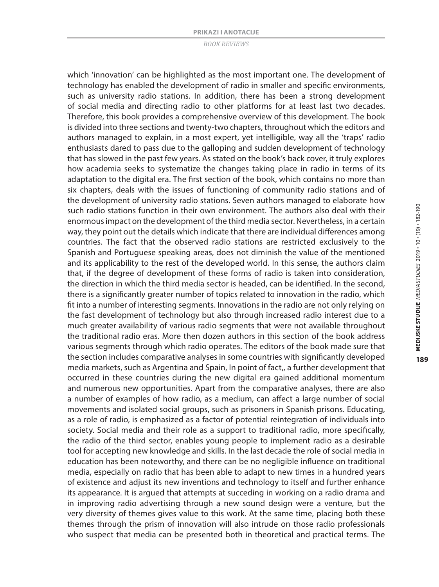which 'innovation' can be highlighted as the most important one. The development of technology has enabled the development of radio in smaller and specific environments, such as university radio stations. In addition, there has been a strong development of social media and directing radio to other platforms for at least last two decades. Therefore, this book provides a comprehensive overview of this development. The book is divided into three sections and twenty-two chapters, throughout which the editors and authors managed to explain, in a most expert, yet intelligible, way all the 'traps' radio enthusiasts dared to pass due to the galloping and sudden development of technology that has slowed in the past few years. As stated on the book's back cover, it truly explores how academia seeks to systematize the changes taking place in radio in terms of its adaptation to the digital era. The first section of the book, which contains no more than six chapters, deals with the issues of functioning of community radio stations and of the development of university radio stations. Seven authors managed to elaborate how such radio stations function in their own environment. The authors also deal with their enormous impact on the development of the third media sector. Nevertheless, in a certain way, they point out the details which indicate that there are individual differences among countries. The fact that the observed radio stations are restricted exclusively to the Spanish and Portuguese speaking areas, does not diminish the value of the mentioned and its applicability to the rest of the developed world. In this sense, the authors claim that, if the degree of development of these forms of radio is taken into consideration, the direction in which the third media sector is headed, can be identified. In the second, there is a significantly greater number of topics related to innovation in the radio, which fit into a number of interesting segments. Innovations in the radio are not only relying on the fast development of technology but also through increased radio interest due to a much greater availability of various radio segments that were not available throughout the traditional radio eras. More then dozen authors in this section of the book address various segments through which radio operates. The editors of the book made sure that the section includes comparative analyses in some countries with significantly developed media markets, such as Argentina and Spain, In point of fact,, a further development that occurred in these countries during the new digital era gained additional momentum and numerous new opportunities. Apart from the comparative analyses, there are also a number of examples of how radio, as a medium, can affect a large number of social movements and isolated social groups, such as prisoners in Spanish prisons. Educating, as a role of radio, is emphasized as a factor of potential reintegration of individuals into society. Social media and their role as a support to traditional radio, more specifically, the radio of the third sector, enables young people to implement radio as a desirable tool for accepting new knowledge and skills. In the last decade the role of social media in education has been noteworthy, and there can be no negligible influence on traditional media, especially on radio that has been able to adapt to new times in a hundred years of existence and adjust its new inventions and technology to itself and further enhance its appearance. It is argued that attempts at succeding in working on a radio drama and in improving radio advertising through a new sound design were a venture, but the very diversity of themes gives value to this work. At the same time, placing both these themes through the prism of innovation will also intrude on those radio professionals who suspect that media can be presented both in theoretical and practical terms. The